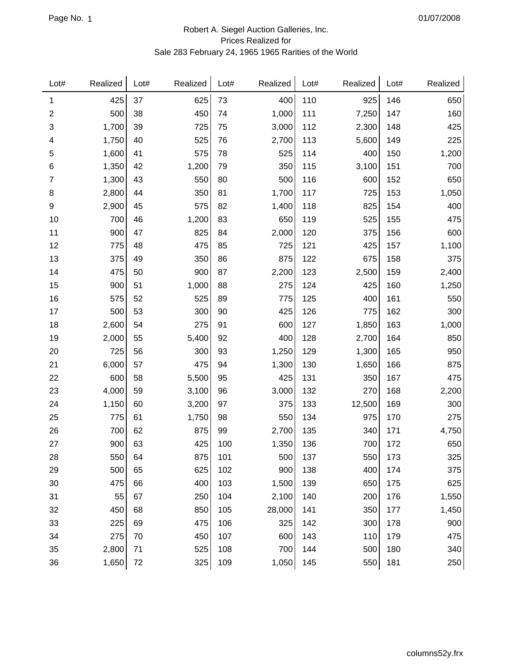## Robert A. Siegel Auction Galleries, Inc. Prices Realized for Sale 283 February 24, 1965 1965 Rarities of the World

| Lot#             | Realized | Lot# | Realized | Lot# | Realized | Lot# | Realized | Lot# | Realized |
|------------------|----------|------|----------|------|----------|------|----------|------|----------|
| 1                | 425      | 37   | 625      | 73   | 400      | 110  | 925      | 146  | 650      |
| 2                | 500      | 38   | 450      | 74   | 1,000    | 111  | 7,250    | 147  | 160      |
| 3                | 1,700    | 39   | 725      | 75   | 3,000    | 112  | 2,300    | 148  | 425      |
| 4                | 1,750    | 40   | 525      | 76   | 2,700    | 113  | 5,600    | 149  | 225      |
| 5                | 1,600    | 41   | 575      | 78   | 525      | 114  | 400      | 150  | 1,200    |
| 6                | 1,350    | 42   | 1,200    | 79   | 350      | 115  | 3,100    | 151  | 700      |
| $\overline{7}$   | 1,300    | 43   | 550      | 80   | 500      | 116  | 600      | 152  | 650      |
| 8                | 2,800    | 44   | 350      | 81   | 1,700    | 117  | 725      | 153  | 1,050    |
| $\boldsymbol{9}$ | 2,900    | 45   | 575      | 82   | 1,400    | 118  | 825      | 154  | 400      |
| 10               | 700      | 46   | 1,200    | 83   | 650      | 119  | 525      | 155  | 475      |
| 11               | 900      | 47   | 825      | 84   | 2,000    | 120  | 375      | 156  | 600      |
| 12               | 775      | 48   | 475      | 85   | 725      | 121  | 425      | 157  | 1,100    |
| 13               | 375      | 49   | 350      | 86   | 875      | 122  | 675      | 158  | 375      |
| 14               | 475      | 50   | 900      | 87   | 2,200    | 123  | 2,500    | 159  | 2,400    |
| 15               | 900      | 51   | 1,000    | 88   | 275      | 124  | 425      | 160  | 1,250    |
| 16               | 575      | 52   | 525      | 89   | 775      | 125  | 400      | 161  | 550      |
| 17               | 500      | 53   | 300      | 90   | 425      | 126  | 775      | 162  | 300      |
| 18               | 2,600    | 54   | 275      | 91   | 600      | 127  | 1,850    | 163  | 1,000    |
| 19               | 2,000    | 55   | 5,400    | 92   | 400      | 128  | 2,700    | 164  | 850      |
| 20               | 725      | 56   | 300      | 93   | 1,250    | 129  | 1,300    | 165  | 950      |
| 21               | 6,000    | 57   | 475      | 94   | 1,300    | 130  | 1,650    | 166  | 875      |
| 22               | 600      | 58   | 5,500    | 95   | 425      | 131  | 350      | 167  | 475      |
| 23               | 4,000    | 59   | 3,100    | 96   | 3,000    | 132  | 270      | 168  | 2,200    |
| 24               | 1,150    | 60   | 3,200    | 97   | 375      | 133  | 12,500   | 169  | 300      |
| 25               | 775      | 61   | 1,750    | 98   | 550      | 134  | 975      | 170  | 275      |
| 26               | 700      | 62   | 875      | 99   | 2,700    | 135  | 340      | 171  | 4,750    |
| 27               | 900      | 63   | 425      | 100  | 1,350    | 136  | 700      | 172  | 650      |
| 28               | 550      | 64   | 875      | 101  | 500      | 137  | 550      | 173  | 325      |
| 29               | 500      | 65   | 625      | 102  | 900      | 138  | 400      | 174  | 375      |
| 30               | 475      | 66   | 400      | 103  | 1,500    | 139  | 650      | 175  | 625      |
| 31               | 55       | 67   | 250      | 104  | 2,100    | 140  | 200      | 176  | 1,550    |
| 32               | 450      | 68   | 850      | 105  | 28,000   | 141  | 350      | 177  | 1,450    |
| 33               | 225      | 69   | 475      | 106  | 325      | 142  | 300      | 178  | 900      |
| 34               | 275      | 70   | 450      | 107  | 600      | 143  | 110      | 179  | 475      |
| 35               | 2,800    | 71   | 525      | 108  | 700      | 144  | 500      | 180  | 340      |
| 36               | 1,650    | 72   | 325      | 109  | 1,050    | 145  | 550      | 181  | 250      |